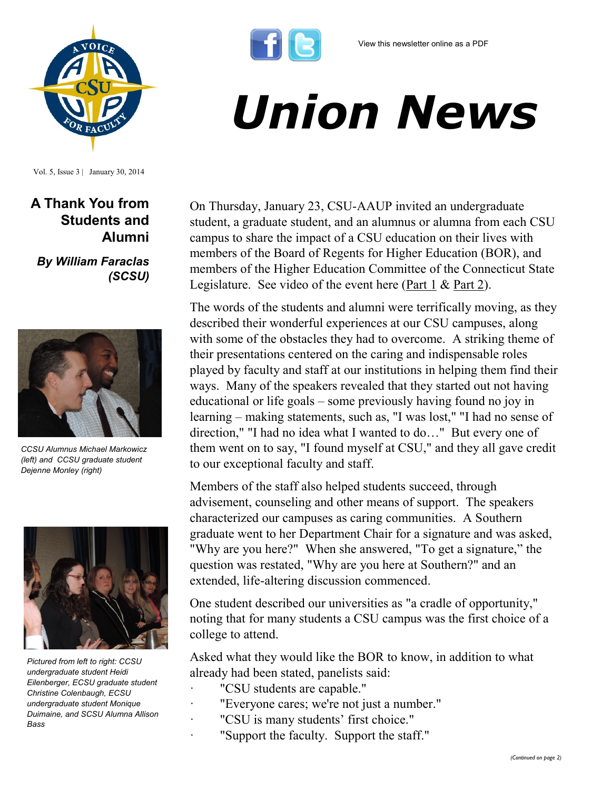



Vol. 5, Issue 3 | January 30, 2014

**A Thank You from Students and Alumni**

*By William Faraclas (SCSU)*



*CCSU Alumnus Michael Markowicz (left) and CCSU graduate student Dejenne Monley (right)*



*Pictured from left to right: CCSU undergraduate student Heidi Eilenberger, ECSU graduate student Christine Colenbaugh, ECSU undergraduate student Monique Duimaine, and SCSU Alumna Allison Bass*

*Union News*

On Thursday, January 23, CSU-AAUP invited an undergraduate student, a graduate student, and an alumnus or alumna from each CSU campus to share the impact of a CSU education on their lives with members of the Board of Regents for Higher Education (BOR), and members of the Higher Education Committee of the Connecticut State Legislature. See video of the event here  $(Part 1 & Part 2)$  $(Part 1 & Part 2)$ .

The words of the students and alumni were terrifically moving, as they described their wonderful experiences at our CSU campuses, along with some of the obstacles they had to overcome. A striking theme of their presentations centered on the caring and indispensable roles played by faculty and staff at our institutions in helping them find their ways. Many of the speakers revealed that they started out not having educational or life goals – some previously having found no joy in learning – making statements, such as, "I was lost," "I had no sense of direction," "I had no idea what I wanted to do…" But every one of them went on to say, "I found myself at CSU," and they all gave credit to our exceptional faculty and staff.

Members of the staff also helped students succeed, through advisement, counseling and other means of support. The speakers characterized our campuses as caring communities. A Southern graduate went to her Department Chair for a signature and was asked, "Why are you here?" When she answered, "To get a signature," the question was restated, "Why are you here at Southern?" and an extended, life-altering discussion commenced.

One student described our universities as "a cradle of opportunity," noting that for many students a CSU campus was the first choice of a college to attend.

Asked what they would like the BOR to know, in addition to what already had been stated, panelists said:

- · "CSU students are capable."
- "Everyone cares; we're not just a number."
- · "CSU is many students' first choice."
- · "Support the faculty. Support the staff."